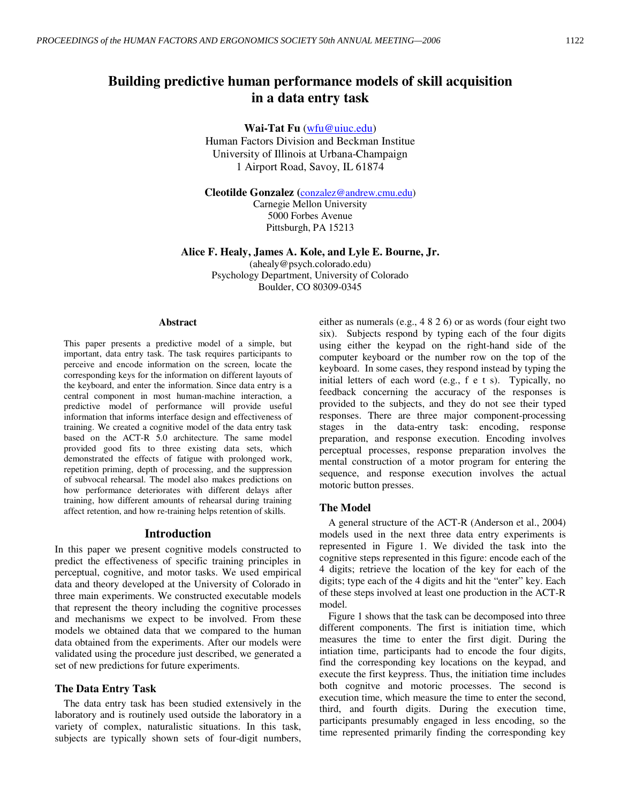# **Building predictive human performance models of skill acquisition in a data entry task**

**Wai-Tat Fu** (wfu@uiuc.edu)

Human Factors Division and Beckman Institue University of Illinois at Urbana-Champaign 1 Airport Road, Savoy, IL 61874

**Cleotilde Gonzalez (**conzalez@andrew.cmu.edu)

Carnegie Mellon University 5000 Forbes Avenue Pittsburgh, PA 15213

**Alice F. Healy, James A. Kole, and Lyle E. Bourne, Jr.**

(ahealy@psych.colorado.edu) Psychology Department, University of Colorado Boulder, CO 80309-0345

#### **Abstract**

This paper presents a predictive model of a simple, but important, data entry task. The task requires participants to perceive and encode information on the screen, locate the corresponding keys for the information on different layouts of the keyboard, and enter the information. Since data entry is a central component in most human-machine interaction, a predictive model of performance will provide useful information that informs interface design and effectiveness of training. We created a cognitive model of the data entry task based on the ACT-R 5.0 architecture. The same model provided good fits to three existing data sets, which demonstrated the effects of fatigue with prolonged work, repetition priming, depth of processing, and the suppression of subvocal rehearsal. The model also makes predictions on how performance deteriorates with different delays after training, how different amounts of rehearsal during training affect retention, and how re-training helps retention of skills.

#### **Introduction**

In this paper we present cognitive models constructed to predict the effectiveness of specific training principles in perceptual, cognitive, and motor tasks. We used empirical data and theory developed at the University of Colorado in three main experiments. We constructed executable models that represent the theory including the cognitive processes and mechanisms we expect to be involved. From these models we obtained data that we compared to the human data obtained from the experiments. After our models were validated using the procedure just described, we generated a set of new predictions for future experiments.

#### **The Data Entry Task**

The data entry task has been studied extensively in the laboratory and is routinely used outside the laboratory in a variety of complex, naturalistic situations. In this task, subjects are typically shown sets of four-digit numbers,

either as numerals (e.g., 4 8 2 6) or as words (four eight two six). Subjects respond by typing each of the four digits using either the keypad on the right-hand side of the computer keyboard or the number row on the top of the keyboard. In some cases, they respond instead by typing the initial letters of each word (e.g., f e t s). Typically, no feedback concerning the accuracy of the responses is provided to the subjects, and they do not see their typed responses. There are three major component-processing stages in the data-entry task: encoding, response preparation, and response execution. Encoding involves perceptual processes, response preparation involves the mental construction of a motor program for entering the sequence, and response execution involves the actual motoric button presses.

#### **The Model**

A general structure of the ACT-R (Anderson et al., 2004) models used in the next three data entry experiments is represented in Figure 1. We divided the task into the cognitive steps represented in this figure: encode each of the 4 digits; retrieve the location of the key for each of the digits; type each of the 4 digits and hit the "enter" key. Each of these steps involved at least one production in the ACT-R model.

Figure 1 shows that the task can be decomposed into three different components. The first is initiation time, which measures the time to enter the first digit. During the intiation time, participants had to encode the four digits, find the corresponding key locations on the keypad, and execute the first keypress. Thus, the initiation time includes both cognitve and motoric processes. The second is execution time, which measure the time to enter the second, third, and fourth digits. During the execution time, participants presumably engaged in less encoding, so the time represented primarily finding the corresponding key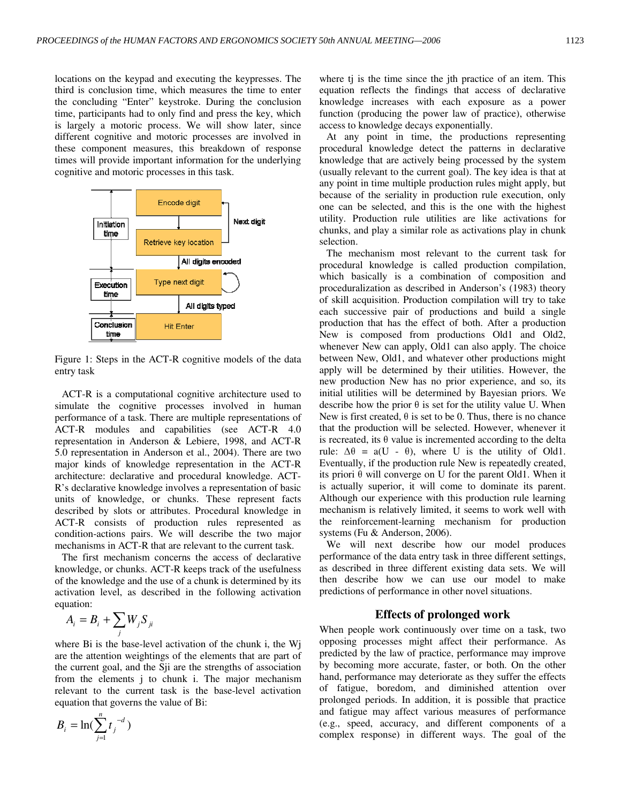locations on the keypad and executing the keypresses. The third is conclusion time, which measures the time to enter the concluding "Enter" keystroke. During the conclusion time, participants had to only find and press the key, which is largely a motoric process. We will show later, since different cognitive and motoric processes are involved in these component measures, this breakdown of response times will provide important information for the underlying cognitive and motoric processes in this task.



Figure 1: Steps in the ACT-R cognitive models of the data entry task

 ACT-R is a computational cognitive architecture used to simulate the cognitive processes involved in human performance of a task. There are multiple representations of ACT-R modules and capabilities (see ACT-R 4.0 representation in Anderson & Lebiere, 1998, and ACT-R 5.0 representation in Anderson et al., 2004). There are two major kinds of knowledge representation in the ACT-R architecture: declarative and procedural knowledge. ACT-R's declarative knowledge involves a representation of basic units of knowledge, or chunks. These represent facts described by slots or attributes. Procedural knowledge in ACT-R consists of production rules represented as condition-actions pairs. We will describe the two major mechanisms in ACT-R that are relevant to the current task.

 The first mechanism concerns the access of declarative knowledge, or chunks. ACT-R keeps track of the usefulness of the knowledge and the use of a chunk is determined by its activation level, as described in the following activation equation:

$$
A_i = B_i + \sum_j W_j S_{ji}
$$

where Bi is the base-level activation of the chunk i, the Wj are the attention weightings of the elements that are part of the current goal, and the Sji are the strengths of association from the elements j to chunk i. The major mechanism relevant to the current task is the base-level activation equation that governs the value of Bi:

$$
B_i = \ln(\sum_{j=1}^n t_j^{-d})
$$

where tj is the time since the jth practice of an item. This equation reflects the findings that access of declarative knowledge increases with each exposure as a power function (producing the power law of practice), otherwise access to knowledge decays exponentially.

 At any point in time, the productions representing procedural knowledge detect the patterns in declarative knowledge that are actively being processed by the system (usually relevant to the current goal). The key idea is that at any point in time multiple production rules might apply, but because of the seriality in production rule execution, only one can be selected, and this is the one with the highest utility. Production rule utilities are like activations for chunks, and play a similar role as activations play in chunk selection.

 The mechanism most relevant to the current task for procedural knowledge is called production compilation, which basically is a combination of composition and proceduralization as described in Anderson's (1983) theory of skill acquisition. Production compilation will try to take each successive pair of productions and build a single production that has the effect of both. After a production New is composed from productions Old1 and Old2, whenever New can apply, Old1 can also apply. The choice between New, Old1, and whatever other productions might apply will be determined by their utilities. However, the new production New has no prior experience, and so, its initial utilities will be determined by Bayesian priors. We describe how the prior  $\theta$  is set for the utility value U. When New is first created,  $\theta$  is set to be 0. Thus, there is no chance that the production will be selected. However, whenever it is recreated, its θ value is incremented according to the delta rule:  $Δθ = a(U - θ)$ , where U is the utility of Old1. Eventually, if the production rule New is repeatedly created, its priori θ will converge on U for the parent Old1. When it is actually superior, it will come to dominate its parent. Although our experience with this production rule learning mechanism is relatively limited, it seems to work well with the reinforcement-learning mechanism for production systems (Fu & Anderson, 2006).

 We will next describe how our model produces performance of the data entry task in three different settings, as described in three different existing data sets. We will then describe how we can use our model to make predictions of performance in other novel situations.

## **Effects of prolonged work**

When people work continuously over time on a task, two opposing processes might affect their performance. As predicted by the law of practice, performance may improve by becoming more accurate, faster, or both. On the other hand, performance may deteriorate as they suffer the effects of fatigue, boredom, and diminished attention over prolonged periods. In addition, it is possible that practice and fatigue may affect various measures of performance (e.g., speed, accuracy, and different components of a complex response) in different ways. The goal of the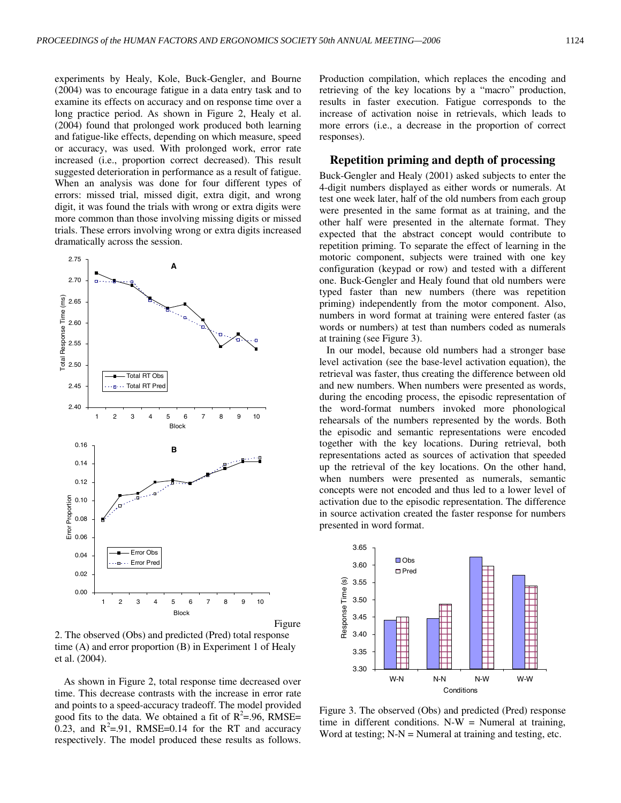experiments by Healy, Kole, Buck-Gengler, and Bourne (2004) was to encourage fatigue in a data entry task and to examine its effects on accuracy and on response time over a long practice period. As shown in Figure 2, Healy et al. (2004) found that prolonged work produced both learning and fatigue-like effects, depending on which measure, speed or accuracy, was used. With prolonged work, error rate increased (i.e., proportion correct decreased). This result suggested deterioration in performance as a result of fatigue.

When an analysis was done for four different types of errors: missed trial, missed digit, extra digit, and wrong digit, it was found the trials with wrong or extra digits were more common than those involving missing digits or missed trials. These errors involving wrong or extra digits increased dramatically across the session.



2. The observed (Obs) and predicted (Pred) total response time (A) and error proportion (B) in Experiment 1 of Healy et al. (2004).

As shown in Figure 2, total response time decreased over time. This decrease contrasts with the increase in error rate and points to a speed-accuracy tradeoff. The model provided good fits to the data. We obtained a fit of  $R^2 = .96$ , RMSE= 0.23, and  $R^2 = .91$ , RMSE=0.14 for the RT and accuracy respectively. The model produced these results as follows.

Production compilation, which replaces the encoding and retrieving of the key locations by a "macro" production, results in faster execution. Fatigue corresponds to the increase of activation noise in retrievals, which leads to more errors (i.e., a decrease in the proportion of correct responses).

# **Repetition priming and depth of processing**

Buck-Gengler and Healy (2001) asked subjects to enter the 4-digit numbers displayed as either words or numerals. At test one week later, half of the old numbers from each group were presented in the same format as at training, and the other half were presented in the alternate format. They expected that the abstract concept would contribute to repetition priming. To separate the effect of learning in the motoric component, subjects were trained with one key configuration (keypad or row) and tested with a different one. Buck-Gengler and Healy found that old numbers were typed faster than new numbers (there was repetition priming) independently from the motor component. Also, numbers in word format at training were entered faster (as words or numbers) at test than numbers coded as numerals at training (see Figure 3).

 In our model, because old numbers had a stronger base level activation (see the base-level activation equation), the retrieval was faster, thus creating the difference between old and new numbers. When numbers were presented as words, during the encoding process, the episodic representation of the word-format numbers invoked more phonological rehearsals of the numbers represented by the words. Both the episodic and semantic representations were encoded together with the key locations. During retrieval, both representations acted as sources of activation that speeded up the retrieval of the key locations. On the other hand, when numbers were presented as numerals, semantic concepts were not encoded and thus led to a lower level of activation due to the episodic representation. The difference in source activation created the faster response for numbers presented in word format.



Figure 3. The observed (Obs) and predicted (Pred) response time in different conditions.  $N-W =$  Numeral at training, Word at testing;  $N-N =$  Numeral at training and testing, etc.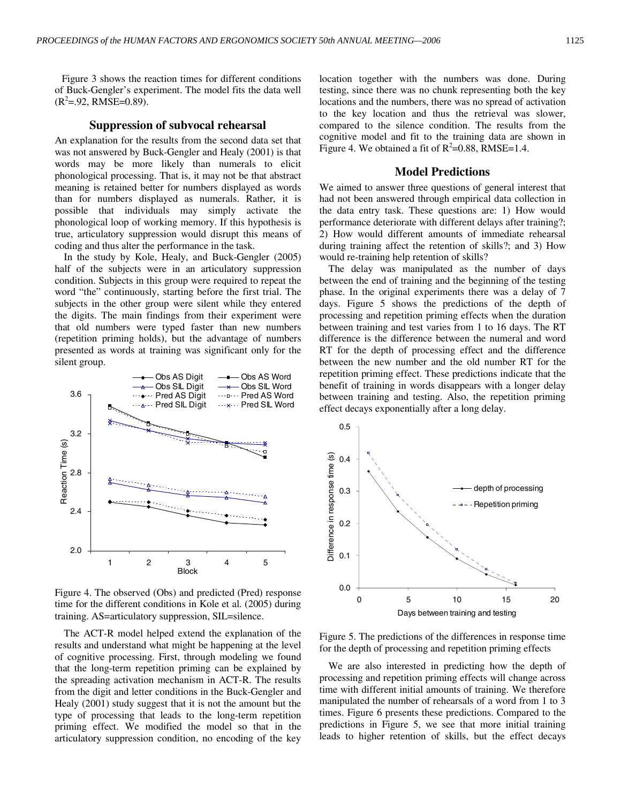Figure 3 shows the reaction times for different conditions of Buck-Gengler's experiment. The model fits the data well

## **Suppression of subvocal rehearsal**

 $(R<sup>2</sup>=.92, RMSE=0.89).$ 

An explanation for the results from the second data set that was not answered by Buck-Gengler and Healy (2001) is that words may be more likely than numerals to elicit phonological processing. That is, it may not be that abstract meaning is retained better for numbers displayed as words than for numbers displayed as numerals. Rather, it is possible that individuals may simply activate the phonological loop of working memory. If this hypothesis is true, articulatory suppression would disrupt this means of coding and thus alter the performance in the task.

In the study by Kole, Healy, and Buck-Gengler (2005) half of the subjects were in an articulatory suppression condition. Subjects in this group were required to repeat the word "the" continuously, starting before the first trial. The subjects in the other group were silent while they entered the digits. The main findings from their experiment were that old numbers were typed faster than new numbers (repetition priming holds), but the advantage of numbers presented as words at training was significant only for the silent group.



Figure 4. The observed (Obs) and predicted (Pred) response time for the different conditions in Kole et al. (2005) during training. AS=articulatory suppression, SIL=silence.

The ACT-R model helped extend the explanation of the results and understand what might be happening at the level of cognitive processing. First, through modeling we found that the long-term repetition priming can be explained by the spreading activation mechanism in ACT-R. The results from the digit and letter conditions in the Buck-Gengler and Healy (2001) study suggest that it is not the amount but the type of processing that leads to the long-term repetition priming effect. We modified the model so that in the articulatory suppression condition, no encoding of the key location together with the numbers was done. During testing, since there was no chunk representing both the key locations and the numbers, there was no spread of activation to the key location and thus the retrieval was slower, compared to the silence condition. The results from the cognitive model and fit to the training data are shown in Figure 4. We obtained a fit of  $R^2$ =0.88, RMSE=1.4.

## **Model Predictions**

We aimed to answer three questions of general interest that had not been answered through empirical data collection in the data entry task. These questions are: 1) How would performance deteriorate with different delays after training?; 2) How would different amounts of immediate rehearsal during training affect the retention of skills?; and 3) How would re-training help retention of skills?

The delay was manipulated as the number of days between the end of training and the beginning of the testing phase. In the original experiments there was a delay of 7 days. Figure 5 shows the predictions of the depth of processing and repetition priming effects when the duration between training and test varies from 1 to 16 days. The RT difference is the difference between the numeral and word RT for the depth of processing effect and the difference between the new number and the old number RT for the repetition priming effect. These predictions indicate that the benefit of training in words disappears with a longer delay between training and testing. Also, the repetition priming effect decays exponentially after a long delay.



Figure 5. The predictions of the differences in response time for the depth of processing and repetition priming effects

We are also interested in predicting how the depth of processing and repetition priming effects will change across time with different initial amounts of training. We therefore manipulated the number of rehearsals of a word from 1 to 3 times. Figure 6 presents these predictions. Compared to the predictions in Figure 5, we see that more initial training leads to higher retention of skills, but the effect decays